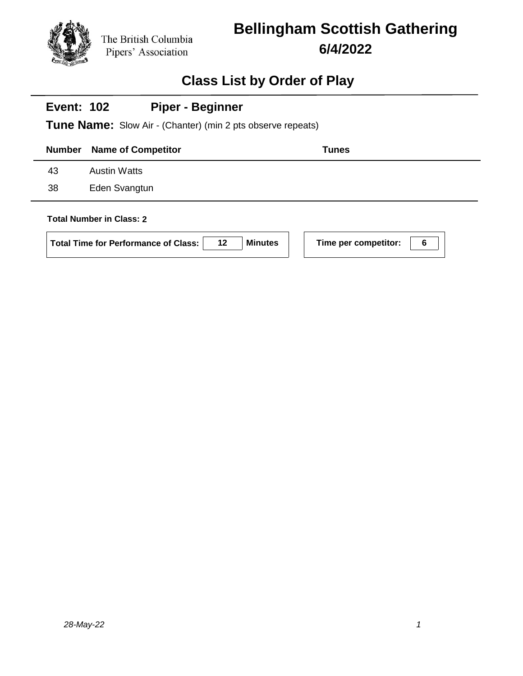# **Bellingham Scottish Gathering 6/4/2022**

## **Class List by Order of Play**

| <b>Piper - Beginner</b><br><b>Event: 102</b><br><b>Tune Name:</b> Slow Air - (Chanter) (min 2 pts observe repeats) |  |  |              |  |  |  |
|--------------------------------------------------------------------------------------------------------------------|--|--|--------------|--|--|--|
| <b>Name of Competitor</b>                                                                                          |  |  | <b>Tunes</b> |  |  |  |
| <b>Austin Watts</b>                                                                                                |  |  |              |  |  |  |
| Eden Svangtun                                                                                                      |  |  |              |  |  |  |
|                                                                                                                    |  |  |              |  |  |  |

 $\mathbf{I}$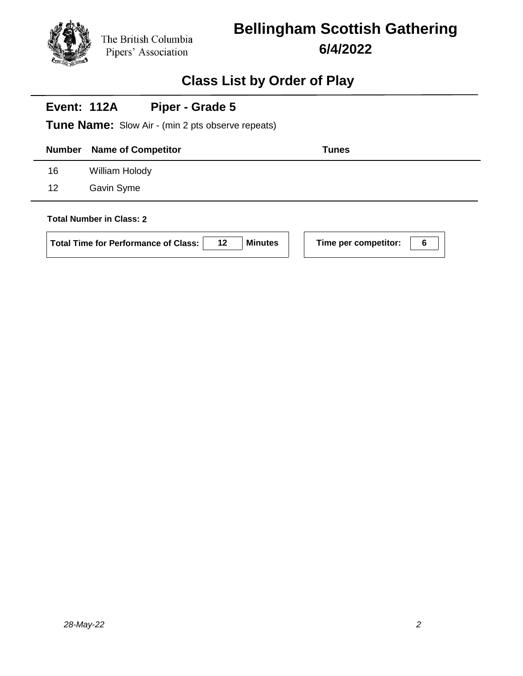# **Bellingham Scottish Gathering 6/4/2022**

## **Class List by Order of Play**

| <b>Event: 112A</b> | Piper - Grade 5                                          |              |  |  |  |
|--------------------|----------------------------------------------------------|--------------|--|--|--|
|                    | <b>Tune Name:</b> Slow Air - (min 2 pts observe repeats) |              |  |  |  |
| <b>Number</b>      | <b>Name of Competitor</b>                                | <b>Tunes</b> |  |  |  |
| 16                 | William Holody                                           |              |  |  |  |
| 12                 | Gavin Syme                                               |              |  |  |  |
|                    | <b>Total Number in Class: 2</b>                          |              |  |  |  |

#### **Total Number in Class: 2**

| Total Time for Performance of Class: | 12 | Minutes |
|--------------------------------------|----|---------|
|--------------------------------------|----|---------|

**Time per competitor:** 6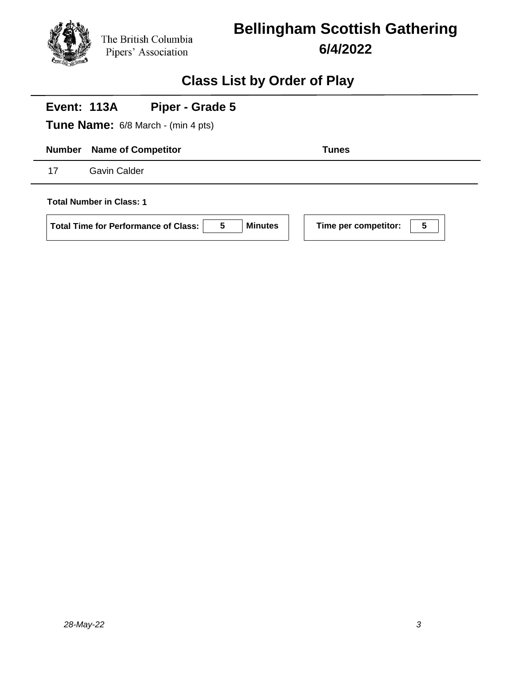

## **Bellingham Scottish Gathering 6/4/2022**

### **Class List by Order of Play**

# **Number Name of Competitor Tunes Event: 113A Tune Name:** 6/8 March - (min 4 pts) **Piper - Grade 5** 17 Gavin Calder **Total Number in Class: 1 Total Time for Performance of Class: 5 Minutes Time per competitor: 5**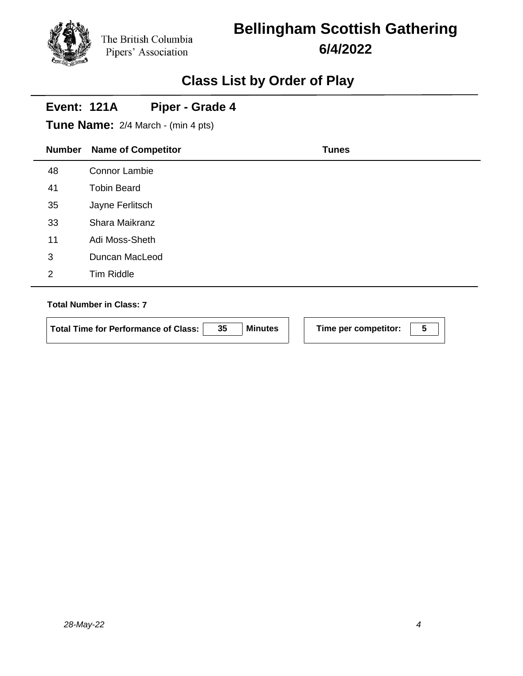# **Bellingham Scottish Gathering 6/4/2022**

## **Class List by Order of Play**

#### **Event: 121A Piper - Grade 4**

**Tune Name:** 2/4 March - (min 4 pts)

| <b>Number</b> | <b>Name of Competitor</b> | <b>Tunes</b> |
|---------------|---------------------------|--------------|
| 48            | Connor Lambie             |              |
| 41            | <b>Tobin Beard</b>        |              |
| 35            | Jayne Ferlitsch           |              |
| 33            | Shara Maikranz            |              |
| 11            | Adi Moss-Sheth            |              |
| 3             | Duncan MacLeod            |              |
| 2             | Tim Riddle                |              |
|               |                           |              |

#### **Total Number in Class: 7**

**Total Time for Performance of Class: 35 Minutes Time per competitor: 5**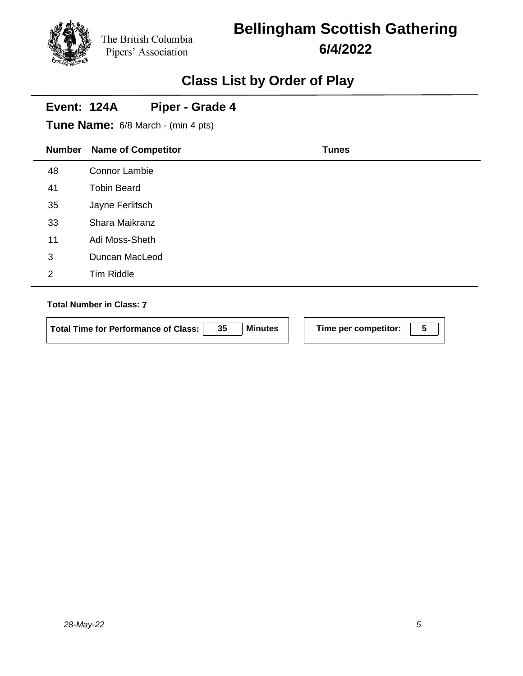# **Bellingham Scottish Gathering 6/4/2022**

## **Class List by Order of Play**

#### **Event: 124A Piper - Grade 4**

**Tune Name:** 6/8 March - (min 4 pts)

| <b>Number</b>  | <b>Name of Competitor</b> | <b>Tunes</b> |
|----------------|---------------------------|--------------|
| 48             | <b>Connor Lambie</b>      |              |
| 41             | <b>Tobin Beard</b>        |              |
| 35             | Jayne Ferlitsch           |              |
| 33             | Shara Maikranz            |              |
| 11             | Adi Moss-Sheth            |              |
| 3              | Duncan MacLeod            |              |
| $\overline{2}$ | Tim Riddle                |              |
|                |                           |              |

#### **Total Number in Class: 7**

**Total Time for Performance of Class: 35 Minutes Time per competitor: 5**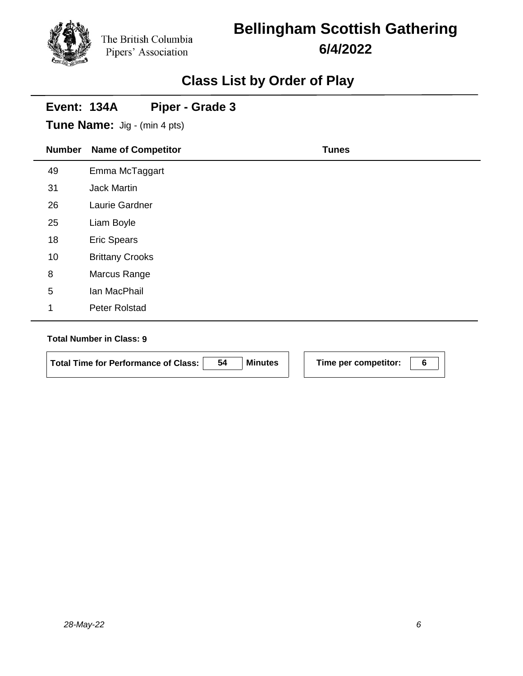## **Bellingham Scottish Gathering 6/4/2022**

## **Class List by Order of Play**

| Event: 134A   | Piper - Grade 3<br><b>Tune Name:</b> Jig - (min 4 pts) |              |  |
|---------------|--------------------------------------------------------|--------------|--|
| <b>Number</b> | <b>Name of Competitor</b>                              | <b>Tunes</b> |  |
| 49            | Emma McTaggart                                         |              |  |
| 31            | <b>Jack Martin</b>                                     |              |  |
| 26            | Laurie Gardner                                         |              |  |
| 25            | Liam Boyle                                             |              |  |
| 18            | <b>Eric Spears</b>                                     |              |  |
| 10            | <b>Brittany Crooks</b>                                 |              |  |
| 8             | Marcus Range                                           |              |  |
| 5             | Ian MacPhail                                           |              |  |
| 1             | Peter Rolstad                                          |              |  |

#### **Total Number in Class: 9**

 $\mathbf{r}$ 

| <b>Minutes</b><br>-54<br>  Total Time for Performance of Class: |
|-----------------------------------------------------------------|
|-----------------------------------------------------------------|

**Time per competitor:** 6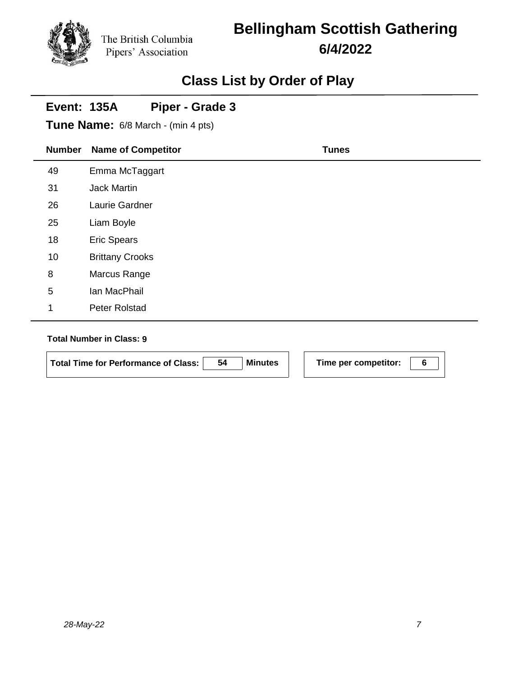# **Bellingham Scottish Gathering 6/4/2022**

## **Class List by Order of Play**

#### **Event: 135A Piper - Grade 3**

**Tune Name:** 6/8 March - (min 4 pts)

| <b>Number</b> | <b>Name of Competitor</b> | <b>Tunes</b> |
|---------------|---------------------------|--------------|
| 49            | Emma McTaggart            |              |
| 31            | Jack Martin               |              |
| 26            | Laurie Gardner            |              |
| 25            | Liam Boyle                |              |
| 18            | <b>Eric Spears</b>        |              |
| 10            | <b>Brittany Crooks</b>    |              |
| 8             | Marcus Range              |              |
| $\sqrt{5}$    | Ian MacPhail              |              |
| 1             | Peter Rolstad             |              |

#### **Total Number in Class: 9**

| Total Time for Performance of Class: | -54 | <b>Minutes</b> |
|--------------------------------------|-----|----------------|
|                                      |     |                |

**Time per competitor:** 6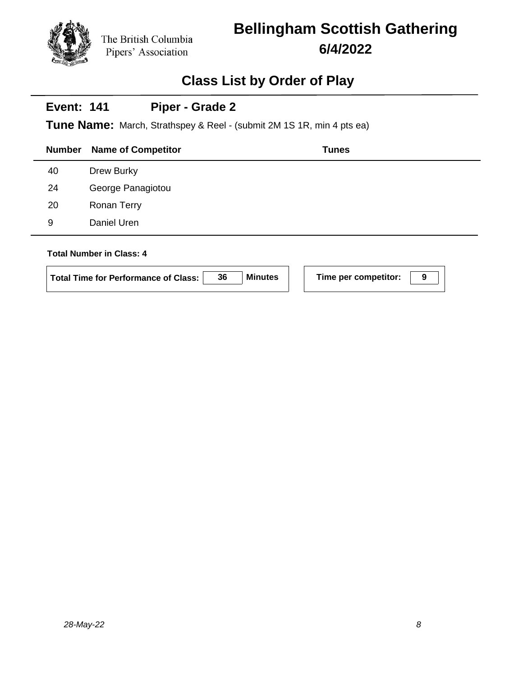## **Bellingham Scottish Gathering 6/4/2022**

### **Class List by Order of Play**

#### **Event: 141 Piper - Grade 2**

**Tune Name:** March, Strathspey & Reel - (submit 2M 1S 1R, min 4 pts ea)

| <b>Number</b> | <b>Name of Competitor</b>       | <b>Tunes</b> |
|---------------|---------------------------------|--------------|
| 40            | Drew Burky                      |              |
| 24            | George Panagiotou               |              |
| 20            | Ronan Terry                     |              |
| 9             | Daniel Uren                     |              |
|               | <b>Total Number in Class: 4</b> |              |

| <b>Minutes</b><br>36<br>Total Time for Performance of Class: |
|--------------------------------------------------------------|
|--------------------------------------------------------------|

**Time per competitor:**  $\boxed{9}$ 

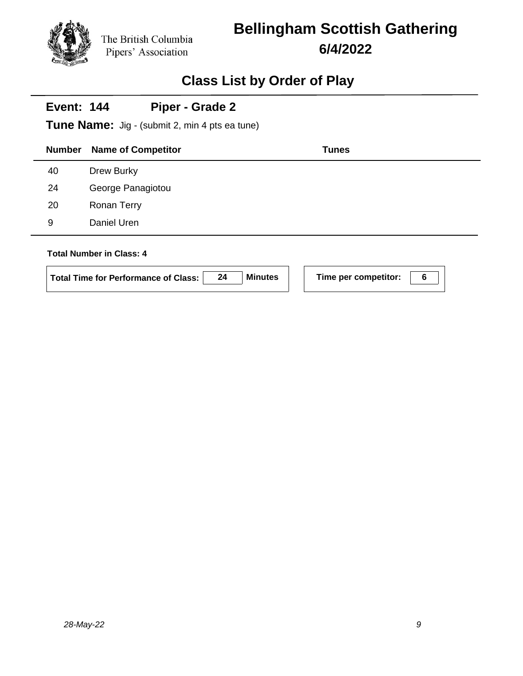# **Bellingham Scottish Gathering 6/4/2022**

## **Class List by Order of Play**

#### **Event: 144 Piper - Grade 2**

**Tune Name:** Jig - (submit 2, min 4 pts ea tune)

| <b>Number</b> | <b>Name of Competitor</b>                                                      |    |                | <b>Tunes</b>              |  |
|---------------|--------------------------------------------------------------------------------|----|----------------|---------------------------|--|
| 40            | Drew Burky                                                                     |    |                |                           |  |
| 24            | George Panagiotou                                                              |    |                |                           |  |
| 20            | Ronan Terry                                                                    |    |                |                           |  |
| 9             | Daniel Uren                                                                    |    |                |                           |  |
|               | <b>Total Number in Class: 4</b><br><b>Total Time for Performance of Class:</b> | 24 | <b>Minutes</b> | 6<br>Time per competitor: |  |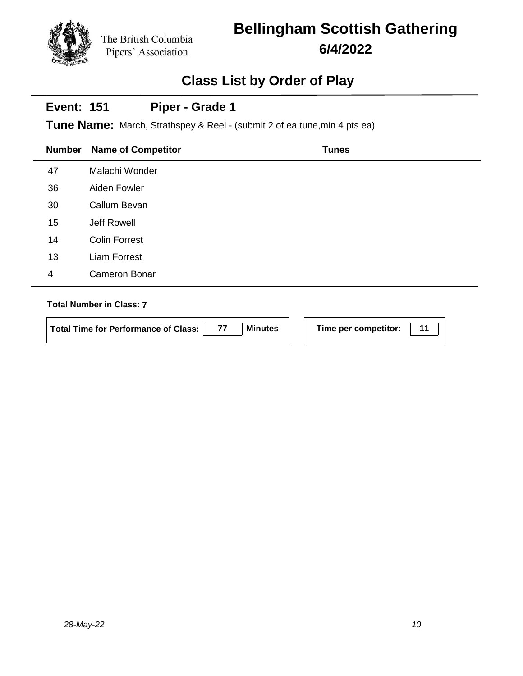# **Bellingham Scottish Gathering 6/4/2022**

## **Class List by Order of Play**

#### **Event: 151 Piper - Grade 1**

**Tune Name:** March, Strathspey & Reel - (submit 2 of ea tune,min 4 pts ea)

| <b>Number</b>  | <b>Name of Competitor</b> | <b>Tunes</b> |
|----------------|---------------------------|--------------|
| 47             | Malachi Wonder            |              |
| 36             | Aiden Fowler              |              |
| 30             | Callum Bevan              |              |
| 15             | Jeff Rowell               |              |
| 14             | <b>Colin Forrest</b>      |              |
| 13             | <b>Liam Forrest</b>       |              |
| $\overline{4}$ | <b>Cameron Bonar</b>      |              |
|                |                           |              |

#### **Total Number in Class: 7**

| <b>Total Time for Performance of Class:</b> | <b>Minutes</b> |  |
|---------------------------------------------|----------------|--|
|                                             |                |  |

**Time per competitor:** 11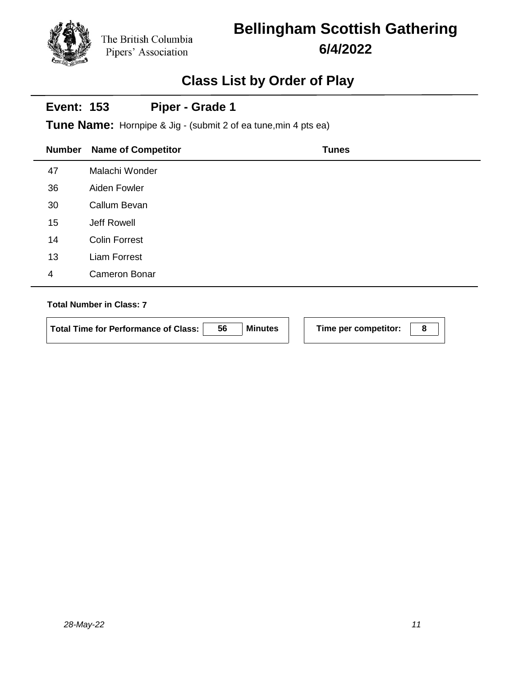# **Bellingham Scottish Gathering 6/4/2022**

## **Class List by Order of Play**

#### **Event: 153 Piper - Grade 1**

**Tune Name:** Hornpipe & Jig - (submit 2 of ea tune,min 4 pts ea)

| <b>Number</b> | <b>Name of Competitor</b> | <b>Tunes</b> |
|---------------|---------------------------|--------------|
| 47            | Malachi Wonder            |              |
| 36            | Aiden Fowler              |              |
| 30            | Callum Bevan              |              |
| 15            | Jeff Rowell               |              |
| 14            | <b>Colin Forrest</b>      |              |
| 13            | <b>Liam Forrest</b>       |              |
| 4             | <b>Cameron Bonar</b>      |              |
|               |                           |              |

#### **Total Number in Class: 7**

**Total Time for Performance of Class: 56 Minutes Time per competitor: 8**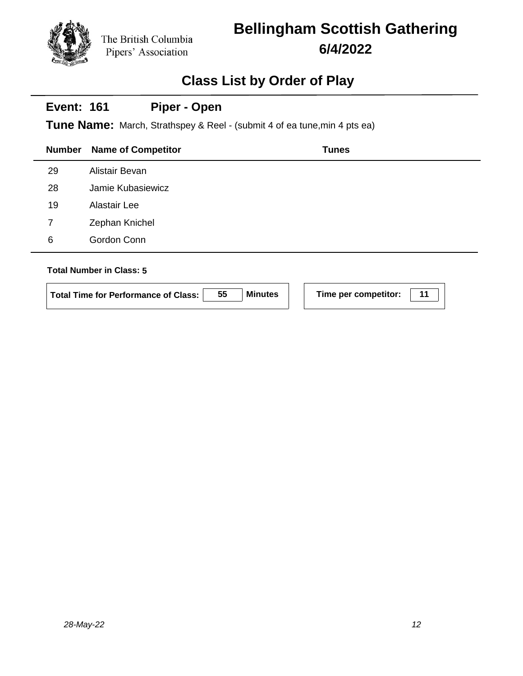# **Bellingham Scottish Gathering 6/4/2022**

## **Class List by Order of Play**

#### **Event: 161 Piper - Open**

**Tune Name:** March, Strathspey & Reel - (submit 4 of ea tune,min 4 pts ea)

|                                 | <b>Number</b> | <b>Name of Competitor</b> | <b>Tunes</b> |
|---------------------------------|---------------|---------------------------|--------------|
|                                 | 29            | Alistair Bevan            |              |
|                                 | 28            | Jamie Kubasiewicz         |              |
|                                 | 19            | Alastair Lee              |              |
|                                 | 7             | Zephan Knichel            |              |
|                                 | 6             | Gordon Conn               |              |
|                                 |               |                           |              |
| <b>Total Number in Class: 5</b> |               |                           |              |

| Total Time for Performance of Class: | 55 | <b>Minutes</b> | Time per competitor: |  |
|--------------------------------------|----|----------------|----------------------|--|
|                                      |    |                |                      |  |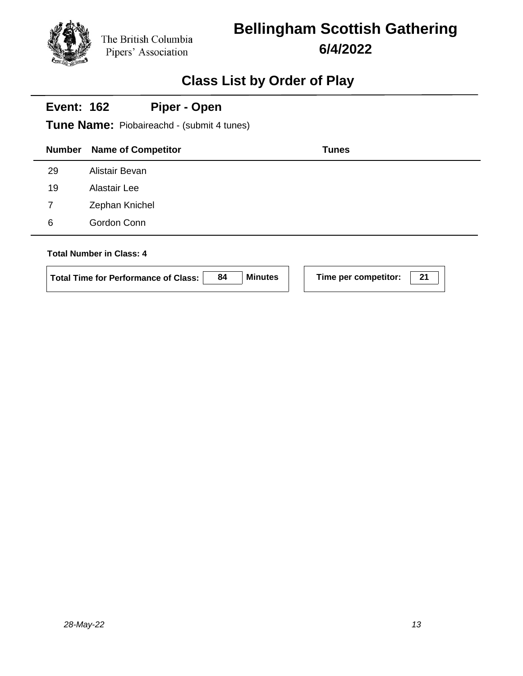# **Bellingham Scottish Gathering 6/4/2022**

## **Class List by Order of Play**

#### **Event: 162 Piper - Open**

**Tune Name:** Piobaireachd - (submit 4 tunes)

| <b>Number</b>                   | <b>Name of Competitor</b> | <b>Tunes</b> |
|---------------------------------|---------------------------|--------------|
| 29                              | Alistair Bevan            |              |
| 19                              | Alastair Lee              |              |
| 7                               | Zephan Knichel            |              |
| 6                               | Gordon Conn               |              |
| <b>Total Number in Class: 4</b> |                           |              |

| Total Time for Performance of Class: | 84 | <b>Minutes</b> |
|--------------------------------------|----|----------------|
|--------------------------------------|----|----------------|

**Time per competitor:** 21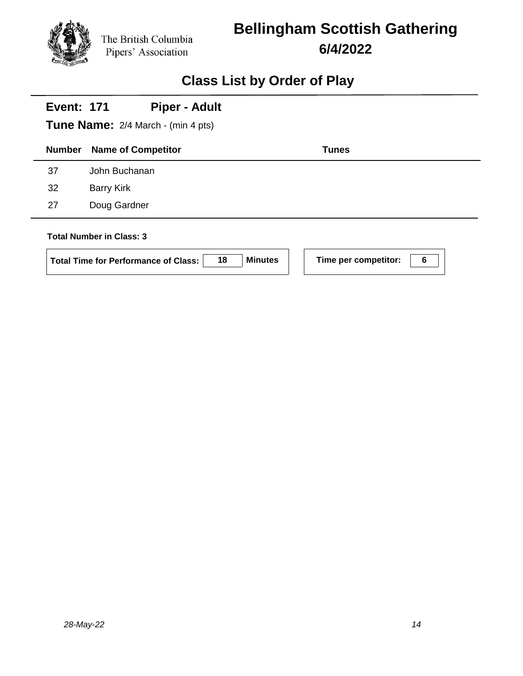## **Bellingham Scottish Gathering 6/4/2022**

## **Class List by Order of Play**

|               | <b>Piper - Adult</b><br><b>Event: 171</b><br><b>Tune Name:</b> 2/4 March - (min 4 pts) |                                        |   |  |  |  |  |
|---------------|----------------------------------------------------------------------------------------|----------------------------------------|---|--|--|--|--|
| <b>Number</b> | <b>Name of Competitor</b>                                                              | <b>Tunes</b>                           |   |  |  |  |  |
| 37            | John Buchanan                                                                          |                                        |   |  |  |  |  |
| 32            | <b>Barry Kirk</b>                                                                      |                                        |   |  |  |  |  |
| 27            | Doug Gardner                                                                           |                                        |   |  |  |  |  |
|               | <b>Total Number in Class: 3</b><br>18<br><b>Total Time for Performance of Class:</b>   | <b>Minutes</b><br>Time per competitor: | 6 |  |  |  |  |

 $\mathbb{R}$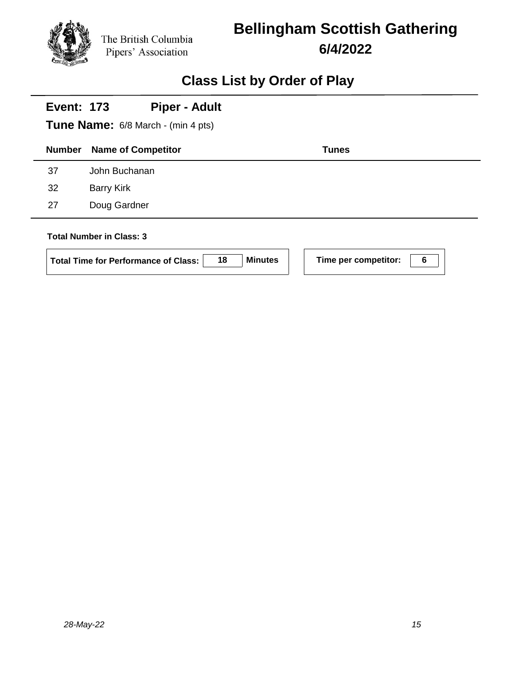# **Bellingham Scottish Gathering 6/4/2022**

## **Class List by Order of Play**

| <b>Piper - Adult</b><br><b>Event: 173</b><br>Tune Name: 6/8 March - (min 4 pts) |                                                                                      |                |                      |   |  |
|---------------------------------------------------------------------------------|--------------------------------------------------------------------------------------|----------------|----------------------|---|--|
| <b>Number</b>                                                                   | <b>Name of Competitor</b>                                                            |                | <b>Tunes</b>         |   |  |
| 37                                                                              | John Buchanan                                                                        |                |                      |   |  |
| 32                                                                              | <b>Barry Kirk</b>                                                                    |                |                      |   |  |
| 27                                                                              | Doug Gardner                                                                         |                |                      |   |  |
|                                                                                 | <b>Total Number in Class: 3</b><br>18<br><b>Total Time for Performance of Class:</b> | <b>Minutes</b> | Time per competitor: | 6 |  |

 $\mathbb{R}$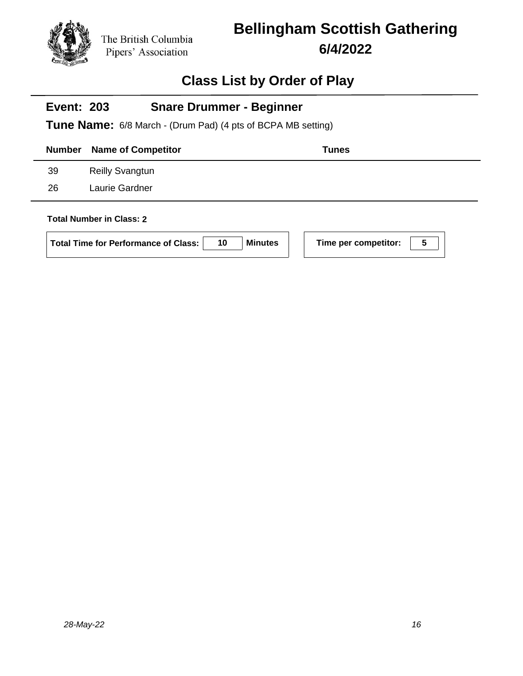## **Bellingham Scottish Gathering 6/4/2022**

### **Class List by Order of Play**

#### **Event: 203 Snare Drummer - Beginner**

**Tune Name:** 6/8 March - (Drum Pad) (4 pts of BCPA MB setting)

|    | <b>Number</b> Name of Competitor | Tunes |
|----|----------------------------------|-------|
| 39 | <b>Reilly Svangtun</b>           |       |
| 26 | Laurie Gardner                   |       |
|    |                                  |       |

### **Total Number in Class: 2**

| Total Time for Performance of Class: | 10 | Minutes |
|--------------------------------------|----|---------|
|                                      |    |         |

**Following Time per competitor: 100**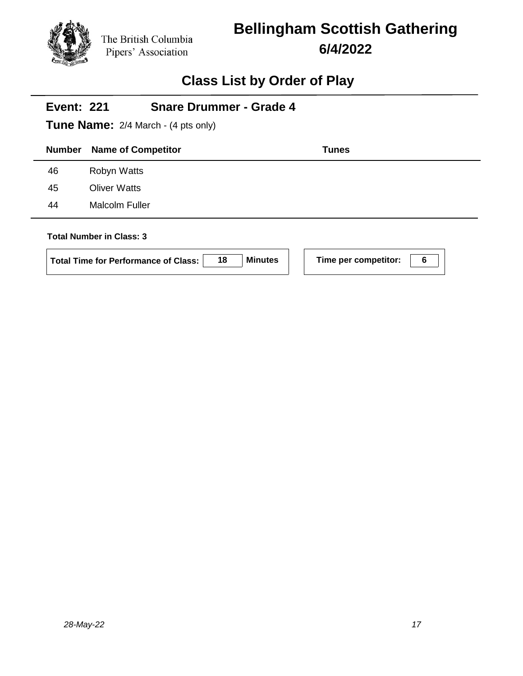## **Bellingham Scottish Gathering 6/4/2022**

### **Class List by Order of Play**

# **Number Name of Competitor Tunes Event: 221 Tune Name:** 2/4 March - (4 pts only) **Snare Drummer - Grade 4** 46 Robyn Watts 45 Oliver Watts 44 Malcolm Fuller **Total Number in Class: 3**

**Total Time for Performance of Class: 18 Minutes Time per competitor: 6**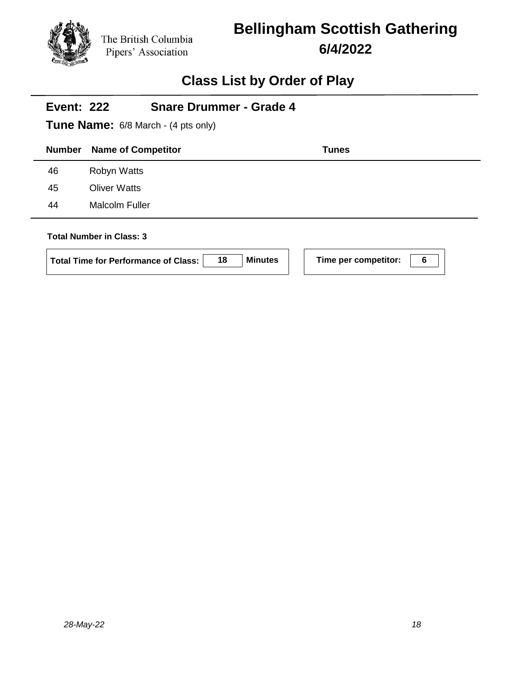## **Bellingham Scottish Gathering 6/4/2022**

### **Class List by Order of Play**

# **Number Name of Competitor Tunes Event: 222 Tune Name:** 6/8 March - (4 pts only) **Snare Drummer - Grade 4** 46 Robyn Watts 45 Oliver Watts 44 Malcolm Fuller **Total Number in Class: 3 Total Time for Performance of Class: 18 Minutes Time per competitor: 6**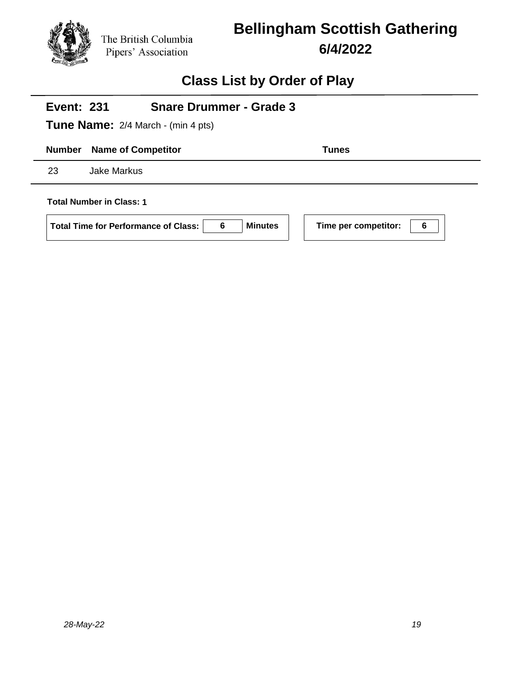

## **Bellingham Scottish Gathering 6/4/2022**

### **Class List by Order of Play**

# **Number Name of Competitor Tunes Event: 231 Tune Name:** 2/4 March - (min 4 pts) **Snare Drummer - Grade 3** 23 Jake Markus **Total Number in Class: 1 Total Time for Performance of Class: 6 Minutes Time per competitor: 6**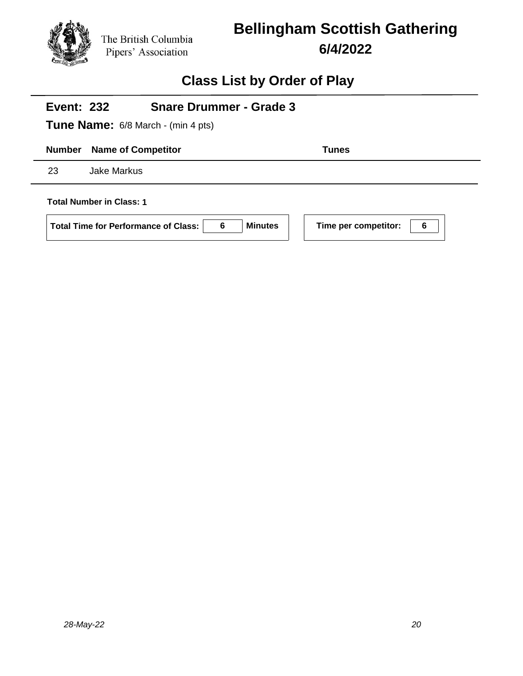

## **Bellingham Scottish Gathering 6/4/2022**

### **Class List by Order of Play**

# **Number Name of Competitor Tunes Event: 232 Tune Name:** 6/8 March - (min 4 pts) **Snare Drummer - Grade 3** 23 Jake Markus **Total Number in Class: 1 Total Time for Performance of Class: 6 Minutes Time per competitor: 6**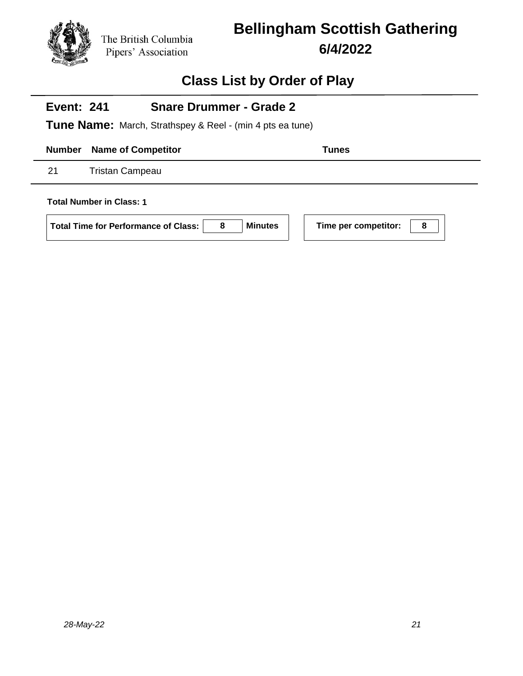# **Bellingham Scottish Gathering 6/4/2022**

### **Class List by Order of Play**

#### **Event: 241 Snare Drummer - Grade 2**

**Tune Name:** March, Strathspey & Reel - (min 4 pts ea tune)

**Number Name of Competitor Tunes** 

21 Tristan Campeau

**Total Number in Class: 1**

**Total Time for Performance of Class: 8 Minutes Time per competitor: 8**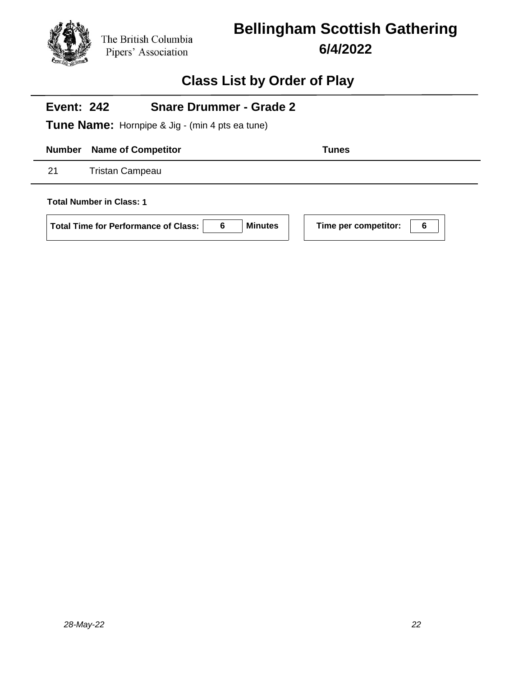

## **Bellingham Scottish Gathering 6/4/2022**

### **Class List by Order of Play**

#### **Event: 242 Snare Drummer - Grade 2**

**Tune Name:** Hornpipe & Jig - (min 4 pts ea tune)

**Number Name of Competitor Tunes** 

21 Tristan Campeau

**Total Number in Class: 1**

**Total Time for Performance of Class: 6 Minutes Time per competitor: 6**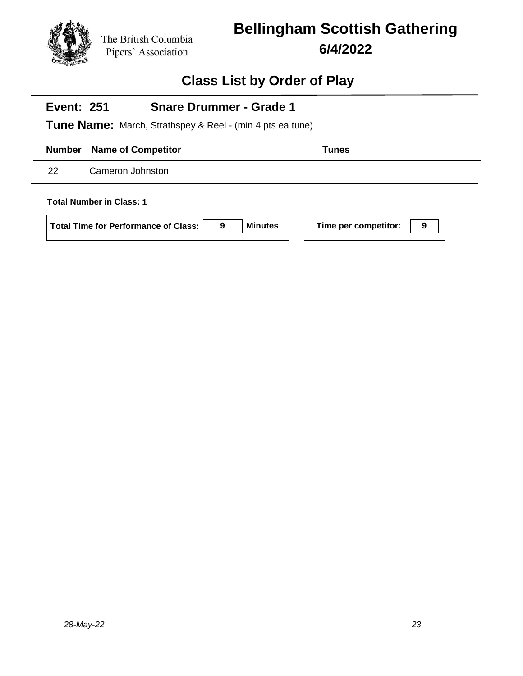# **Bellingham Scottish Gathering 6/4/2022**

### **Class List by Order of Play**

#### **Event: 251 Snare Drummer - Grade 1**

**Tune Name:** March, Strathspey & Reel - (min 4 pts ea tune)

**Number Name of Competitor Tunes** 

22 Cameron Johnston

**Total Number in Class: 1**

**Total Time for Performance of Class: 9 Minutes Time per competitor: 9**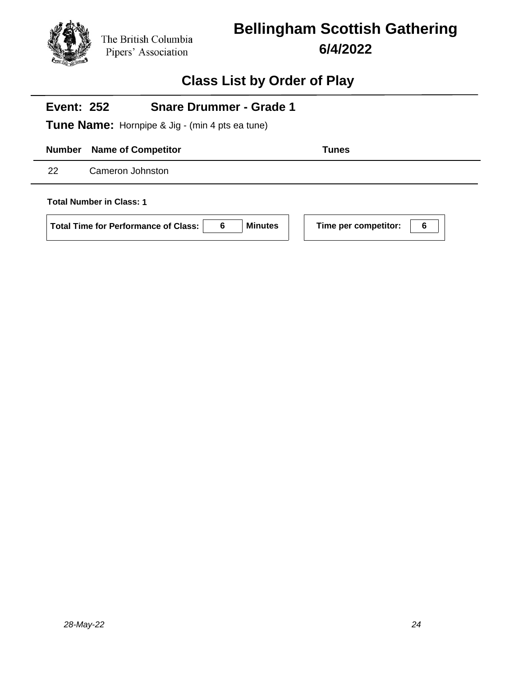

## **Bellingham Scottish Gathering 6/4/2022**

### **Class List by Order of Play**

#### **Event: 252 Snare Drummer - Grade 1**

**Tune Name:** Hornpipe & Jig - (min 4 pts ea tune)

**Number Name of Competitor Tunes** 

22 Cameron Johnston

**Total Number in Class: 1**

**Total Time for Performance of Class: 6 Minutes Time per competitor: 6**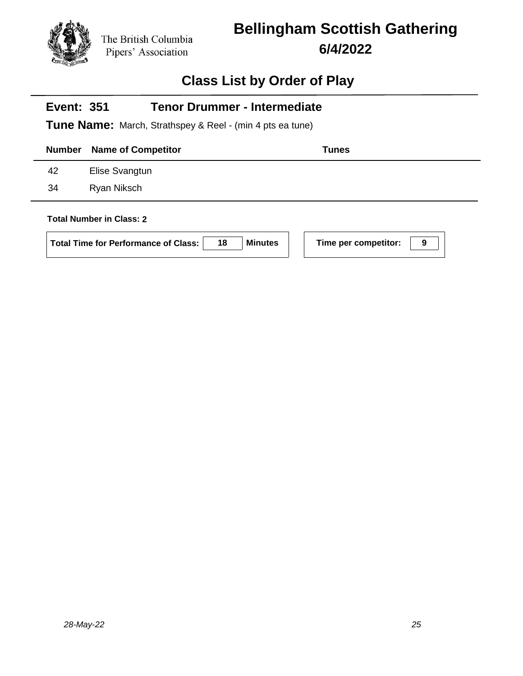# **Bellingham Scottish Gathering 6/4/2022**

## **Class List by Order of Play**

| <b>Tenor Drummer - Intermediate</b><br><b>Event: 351</b><br><b>Tune Name:</b> March, Strathspey & Reel - (min 4 pts ea tune) |                                                                                                        |                           |  |  |
|------------------------------------------------------------------------------------------------------------------------------|--------------------------------------------------------------------------------------------------------|---------------------------|--|--|
| <b>Number</b>                                                                                                                | <b>Name of Competitor</b>                                                                              | <b>Tunes</b>              |  |  |
| 42                                                                                                                           | Elise Svangtun                                                                                         |                           |  |  |
| 34                                                                                                                           | Ryan Niksch                                                                                            |                           |  |  |
|                                                                                                                              | <b>Total Number in Class: 2</b><br><b>Minutes</b><br>18<br><b>Total Time for Performance of Class:</b> | Time per competitor:<br>9 |  |  |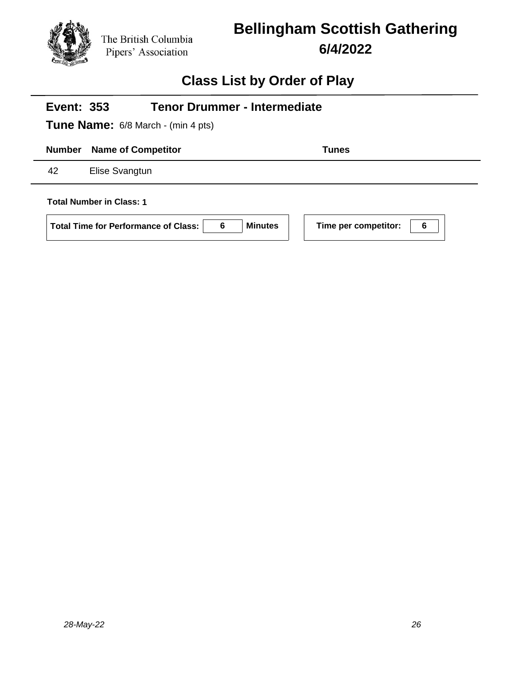

## **Bellingham Scottish Gathering 6/4/2022**

## **Class List by Order of Play**

| <b>Tenor Drummer - Intermediate</b><br><b>Event: 353</b><br><b>Tune Name:</b> 6/8 March - (min 4 pts) |                           |                |                           |  |
|-------------------------------------------------------------------------------------------------------|---------------------------|----------------|---------------------------|--|
| <b>Number</b>                                                                                         | <b>Name of Competitor</b> |                | <b>Tunes</b>              |  |
| 42<br>Elise Svangtun                                                                                  |                           |                |                           |  |
| <b>Total Number in Class: 1</b>                                                                       |                           |                |                           |  |
| <b>Total Time for Performance of Class:</b>                                                           | 6                         | <b>Minutes</b> | Time per competitor:<br>6 |  |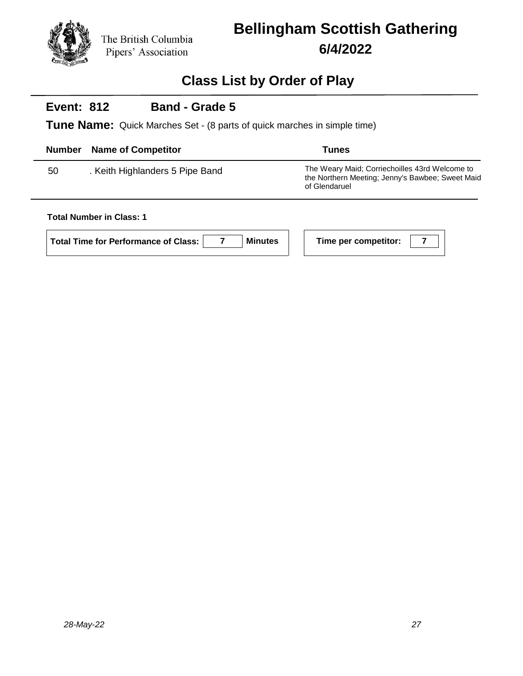# **Bellingham Scottish Gathering 6/4/2022**

### **Class List by Order of Play**

#### **Event: 812 Band - Grade 5**

**Tune Name:** Quick Marches Set - (8 parts of quick marches in simple time)

| Number | <b>Name of Competitor</b>       | <b>Tunes</b>                                                                                                        |
|--------|---------------------------------|---------------------------------------------------------------------------------------------------------------------|
| 50     | . Keith Highlanders 5 Pipe Band | The Weary Maid: Corriechoilles 43rd Welcome to<br>the Northern Meeting; Jenny's Bawbee; Sweet Maid<br>of Glendaruel |

**Total Number in Class: 1**

| Total Time for Performance of Class: | <b>Min</b> |
|--------------------------------------|------------|
|                                      |            |

**I Time per competitor: 7**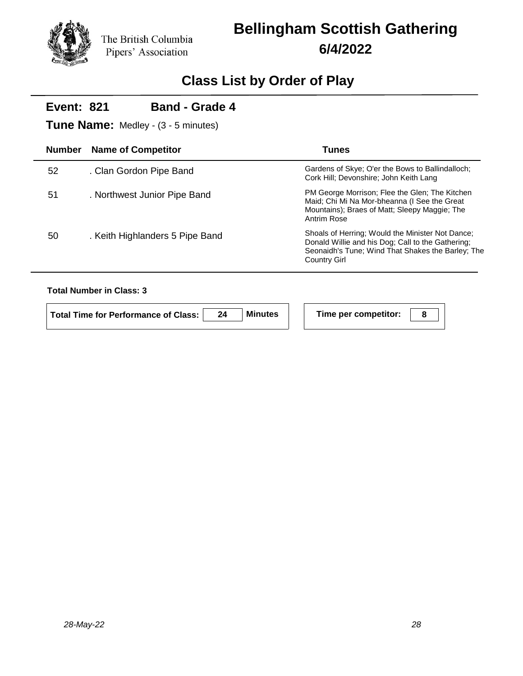## **Bellingham Scottish Gathering 6/4/2022**

## **Class List by Order of Play**

#### **Event: 821 Band - Grade 4**

**Tune Name:** Medley - (3 - 5 minutes)

| <b>Number</b> | <b>Name of Competitor</b>       | Tunes                                                                                                                                                                      |
|---------------|---------------------------------|----------------------------------------------------------------------------------------------------------------------------------------------------------------------------|
| 52            | . Clan Gordon Pipe Band         | Gardens of Skye; O'er the Bows to Ballindalloch;<br>Cork Hill; Devonshire; John Keith Lang                                                                                 |
| 51            | . Northwest Junior Pipe Band    | PM George Morrison; Flee the Glen; The Kitchen<br>Maid; Chi Mi Na Mor-bheanna (I See the Great<br>Mountains); Braes of Matt; Sleepy Maggie; The<br>Antrim Rose             |
| 50            | . Keith Highlanders 5 Pipe Band | Shoals of Herring; Would the Minister Not Dance;<br>Donald Willie and his Dog; Call to the Gathering;<br>Seonaidh's Tune; Wind That Shakes the Barley; The<br>Country Girl |

#### **Total Number in Class: 3**

 $\mathcal{L}$ 

| Total Time for Performance of Class: I | <b>Minutes</b> | Time per competitor: |  |
|----------------------------------------|----------------|----------------------|--|
|                                        |                |                      |  |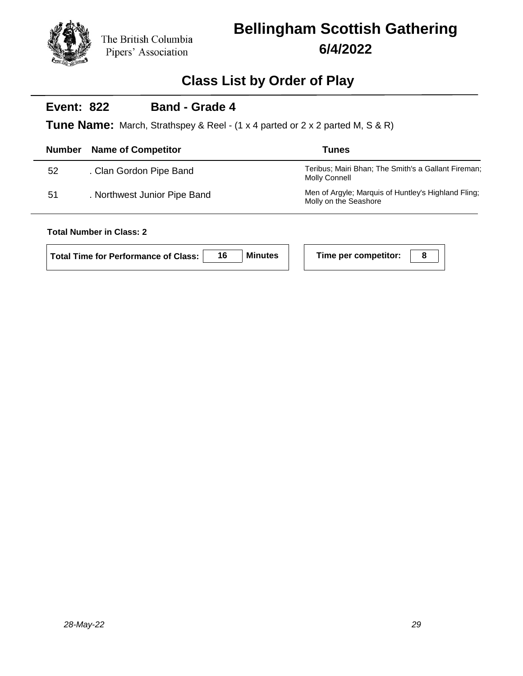## **Bellingham Scottish Gathering 6/4/2022**

### **Class List by Order of Play**

#### **Event: 822 Band - Grade 4**

**Tune Name:** March, Strathspey & Reel - (1 x 4 parted or 2 x 2 parted M, S & R)

| <b>Number</b> | <b>Name of Competitor</b>    | Tunes                                                                        |
|---------------|------------------------------|------------------------------------------------------------------------------|
| 52            | . Clan Gordon Pipe Band      | Teribus; Mairi Bhan; The Smith's a Gallant Fireman;<br>Molly Connell         |
| 51            | . Northwest Junior Pipe Band | Men of Argyle; Marquis of Huntley's Highland Fling;<br>Molly on the Seashore |

### **Total Number in Class: 2**

| <b>Total Time for Performance of Class:</b> |  | <b>Minutes</b> |  | Time per competitor: |  |
|---------------------------------------------|--|----------------|--|----------------------|--|
|---------------------------------------------|--|----------------|--|----------------------|--|

| Time per competitor: |  |
|----------------------|--|
|----------------------|--|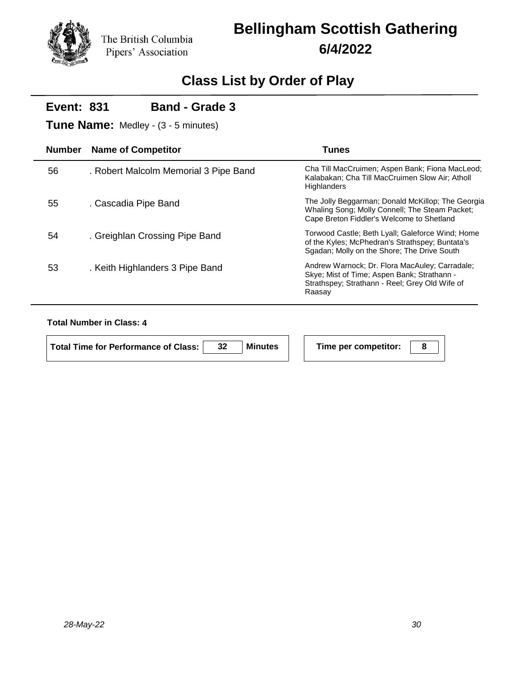# **Bellingham Scottish Gathering 6/4/2022**

## **Class List by Order of Play**

|               | <b>Band - Grade 3</b><br><b>Event: 831</b><br><b>Tune Name:</b> Medley - (3 - 5 minutes) |                                                                                                                                                           |  |  |  |  |
|---------------|------------------------------------------------------------------------------------------|-----------------------------------------------------------------------------------------------------------------------------------------------------------|--|--|--|--|
| <b>Number</b> | <b>Name of Competitor</b>                                                                | <b>Tunes</b>                                                                                                                                              |  |  |  |  |
| 56            | . Robert Malcolm Memorial 3 Pipe Band                                                    | Cha Till MacCruimen; Aspen Bank; Fiona MacLeod;<br>Kalabakan; Cha Till MacCruimen Slow Air; Atholl<br>Highlanders                                         |  |  |  |  |
| 55            | . Cascadia Pipe Band                                                                     | The Jolly Beggarman; Donald McKillop; The Georgia<br>Whaling Song; Molly Connell; The Steam Packet;<br>Cape Breton Fiddler's Welcome to Shetland          |  |  |  |  |
| 54            | . Greighlan Crossing Pipe Band                                                           | Torwood Castle; Beth Lyall; Galeforce Wind; Home<br>of the Kyles; McPhedran's Strathspey; Buntata's<br>Sgadan; Molly on the Shore; The Drive South        |  |  |  |  |
| 53            | . Keith Highlanders 3 Pipe Band                                                          | Andrew Warnock; Dr. Flora MacAuley; Carradale;<br>Skye; Mist of Time; Aspen Bank; Strathann -<br>Strathspey; Strathann - Reel; Grey Old Wife of<br>Raasay |  |  |  |  |

#### **Total Number in Class: 4**

| Total Time for Performance of Class: | 32 | Minutes |
|--------------------------------------|----|---------|
|                                      |    |         |

**Time per competitor:** | 8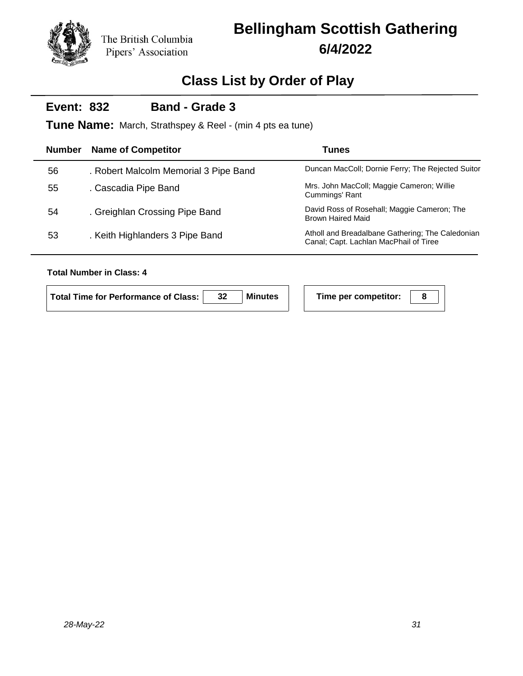## **Bellingham Scottish Gathering 6/4/2022**

## **Class List by Order of Play**

#### **Event: 832 Band - Grade 3**

**Tune Name:** March, Strathspey & Reel - (min 4 pts ea tune)

| <b>Number</b> | <b>Name of Competitor</b>             | <b>Tunes</b>                                                                               |
|---------------|---------------------------------------|--------------------------------------------------------------------------------------------|
| 56            | . Robert Malcolm Memorial 3 Pipe Band | Duncan MacColl; Dornie Ferry; The Rejected Suitor                                          |
| 55            | . Cascadia Pipe Band                  | Mrs. John MacColl; Maggie Cameron; Willie<br>Cummings' Rant                                |
| 54            | . Greighlan Crossing Pipe Band        | David Ross of Rosehall; Maggie Cameron; The<br><b>Brown Haired Maid</b>                    |
| 53            | . Keith Highlanders 3 Pipe Band       | Atholl and Breadalbane Gathering; The Caledonian<br>Canal; Capt. Lachlan MacPhail of Tiree |

#### **Total Number in Class: 4**

| Total Time for Performance of Class: | 32 | <b>Minutes</b> | Time per competitor: |  |
|--------------------------------------|----|----------------|----------------------|--|
|                                      |    |                |                      |  |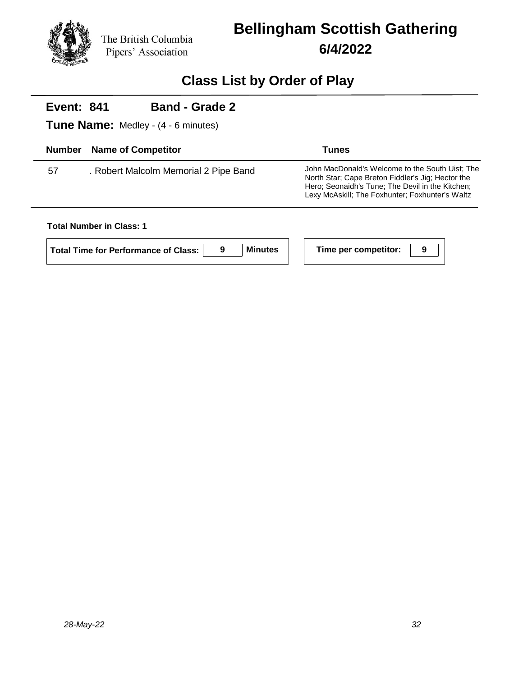

## **Bellingham Scottish Gathering 6/4/2022**

### **Class List by Order of Play**

#### **Event: 841 Band - Grade 2**

**Tune Name:** Medley - (4 - 6 minutes)

| <b>Number</b> | <b>Name of Competitor</b>             | <b>Tunes</b>                                                                                                                                                                                                |
|---------------|---------------------------------------|-------------------------------------------------------------------------------------------------------------------------------------------------------------------------------------------------------------|
| 57            | . Robert Malcolm Memorial 2 Pipe Band | John MacDonald's Welcome to the South Uist; The<br>North Star: Cape Breton Fiddler's Jig: Hector the<br>Hero; Seonaidh's Tune; The Devil in the Kitchen;<br>Lexy McAskill: The Foxhunter: Foxhunter's Waltz |

#### **Total Number in Class: 1**

**Total Time for Performance of Class: 9 Minutes Time per competitor: 9**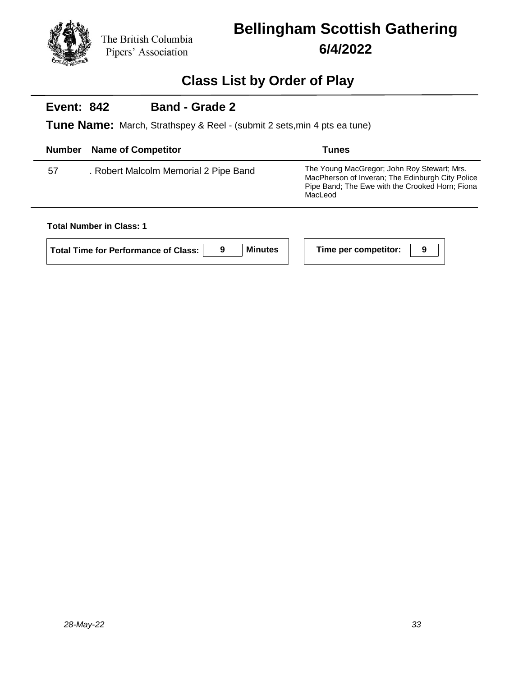## **Bellingham Scottish Gathering 6/4/2022**

### **Class List by Order of Play**

#### **Event: 842 Band - Grade 2**

**Tune Name:** March, Strathspey & Reel - (submit 2 sets,min 4 pts ea tune)

| <b>Number</b> | <b>Name of Competitor</b>             | <b>Tunes</b>                                                                                                                                                  |
|---------------|---------------------------------------|---------------------------------------------------------------------------------------------------------------------------------------------------------------|
| 57            | . Robert Malcolm Memorial 2 Pipe Band | The Young MacGregor; John Roy Stewart; Mrs.<br>MacPherson of Inveran: The Edinburgh City Police<br>Pipe Band; The Ewe with the Crooked Horn; Fiona<br>MacLeod |

#### **Total Number in Class: 1**

**Total Time for Performance of Class: 9 Minutes Time per competitor: 9**

| Time per competitor: |  |
|----------------------|--|
|----------------------|--|